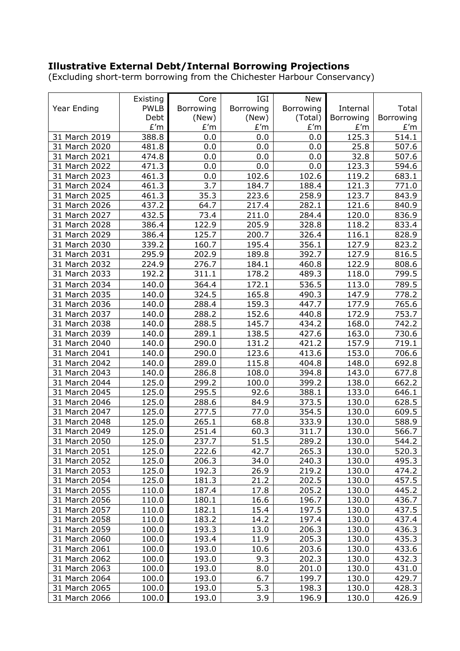## **Illustrative External Debt/Internal Borrowing Projections**

(Excluding short-term borrowing from the Chichester Harbour Conservancy)

|               |                     |           | IGI                   |                                             |           |              |
|---------------|---------------------|-----------|-----------------------|---------------------------------------------|-----------|--------------|
|               | Existing            | Core      |                       | <b>New</b>                                  |           |              |
| Year Ending   | <b>PWLB</b><br>Debt | Borrowing | Borrowing             | Borrowing                                   | Internal  | Total        |
|               |                     | (New)     | (New)<br>$\pounds' m$ | (Total)                                     | Borrowing | Borrowing    |
|               | E'm                 | E'm       |                       | $\pmb{\mathop{E}}' \pmb{\mathop{m}}$<br>0.0 | E'm       | E'm<br>514.1 |
| 31 March 2019 | 388.8               | 0.0       | 0.0                   |                                             | 125.3     |              |
| 31 March 2020 | 481.8               | 0.0       | 0.0                   | 0.0                                         | 25.8      | 507.6        |
| 31 March 2021 | 474.8               | 0.0       | 0.0                   | 0.0                                         | 32.8      | 507.6        |
| 31 March 2022 | 471.3               | 0.0       | 0.0                   | 0.0                                         | 123.3     | 594.6        |
| 31 March 2023 | 461.3               | 0.0       | 102.6                 | 102.6                                       | 119.2     | 683.1        |
| 31 March 2024 | 461.3               | 3.7       | 184.7                 | 188.4                                       | 121.3     | 771.0        |
| 31 March 2025 | 461.3               | 35.3      | 223.6                 | 258.9                                       | 123.7     | 843.9        |
| 31 March 2026 | 437.2               | 64.7      | 217.4                 | 282.1                                       | 121.6     | 840.9        |
| 31 March 2027 | 432.5               | 73.4      | 211.0                 | 284.4                                       | 120.0     | 836.9        |
| 31 March 2028 | 386.4               | 122.9     | 205.9                 | 328.8                                       | 118.2     | 833.4        |
| 31 March 2029 | 386.4               | 125.7     | 200.7                 | 326.4                                       | 116.1     | 828.9        |
| 31 March 2030 | 339.2               | 160.7     | 195.4                 | 356.1                                       | 127.9     | 823.2        |
| 31 March 2031 | 295.9               | 202.9     | 189.8                 | 392.7                                       | 127.9     | 816.5        |
| 31 March 2032 | 224.9               | 276.7     | 184.1                 | 460.8                                       | 122.9     | 808.6        |
| 31 March 2033 | 192.2               | 311.1     | 178.2                 | 489.3                                       | 118.0     | 799.5        |
| 31 March 2034 | 140.0               | 364.4     | 172.1                 | 536.5                                       | 113.0     | 789.5        |
| 31 March 2035 | 140.0               | 324.5     | 165.8                 | 490.3                                       | 147.9     | 778.2        |
| 31 March 2036 | 140.0               | 288.4     | 159.3                 | 447.7                                       | 177.9     | 765.6        |
| 31 March 2037 | 140.0               | 288.2     | 152.6                 | 440.8                                       | 172.9     | 753.7        |
| 31 March 2038 | 140.0               | 288.5     | 145.7                 | 434.2                                       | 168.0     | 742.2        |
| 31 March 2039 | 140.0               | 289.1     | 138.5                 | 427.6                                       | 163.0     | 730.6        |
| 31 March 2040 | 140.0               | 290.0     | 131.2                 | 421.2                                       | 157.9     | 719.1        |
| 31 March 2041 | 140.0               | 290.0     | 123.6                 | 413.6                                       | 153.0     | 706.6        |
| 31 March 2042 | 140.0               | 289.0     | 115.8                 | 404.8                                       | 148.0     | 692.8        |
| 31 March 2043 | 140.0               | 286.8     | 108.0                 | 394.8                                       | 143.0     | 677.8        |
| 31 March 2044 | 125.0               | 299.2     | 100.0                 | 399.2                                       | 138.0     | 662.2        |
| 31 March 2045 | 125.0               | 295.5     | 92.6                  | 388.1                                       | 133.0     | 646.1        |
| 31 March 2046 | 125.0               | 288.6     | 84.9                  | 373.5                                       | 130.0     | 628.5        |
| 31 March 2047 | 125.0               | 277.5     | 77.0                  | 354.5                                       | 130.0     | 609.5        |
| 31 March 2048 | 125.0               | 265.1     | 68.8                  | 333.9                                       | 130.0     | 588.9        |
| 31 March 2049 | 125.0               | 251.4     | 60.3                  | 311.7                                       | 130.0     | 566.7        |
| 31 March 2050 | 125.0               | 237.7     | 51.5                  | 289.2                                       | 130.0     | 544.2        |
| 31 March 2051 | 125.0               | 222.6     | 42.7                  | 265.3                                       | 130.0     | 520.3        |
| 31 March 2052 | 125.0               | 206.3     | 34.0                  | 240.3                                       | 130.0     | 495.3        |
| 31 March 2053 | 125.0               | 192.3     | 26.9                  | 219.2                                       | 130.0     | 474.2        |
| 31 March 2054 | 125.0               | 181.3     | 21.2                  | 202.5                                       | 130.0     | 457.5        |
| 31 March 2055 | 110.0               | 187.4     | 17.8                  | 205.2                                       | 130.0     | 445.2        |
| 31 March 2056 | 110.0               | 180.1     | 16.6                  | 196.7                                       | 130.0     | 436.7        |
| 31 March 2057 | 110.0               | 182.1     | 15.4                  | 197.5                                       | 130.0     | 437.5        |
| 31 March 2058 | 110.0               | 183.2     | 14.2                  | 197.4                                       | 130.0     | 437.4        |
| 31 March 2059 | 100.0               | 193.3     | 13.0                  | 206.3                                       | 130.0     | 436.3        |
| 31 March 2060 | 100.0               | 193.4     | 11.9                  | 205.3                                       | 130.0     | 435.3        |
| 31 March 2061 | 100.0               | 193.0     | 10.6                  | 203.6                                       | 130.0     | 433.6        |
| 31 March 2062 | 100.0               | 193.0     | 9.3                   | 202.3                                       | 130.0     | 432.3        |
| 31 March 2063 | 100.0               | 193.0     | 8.0                   | 201.0                                       | 130.0     | 431.0        |
| 31 March 2064 | 100.0               | 193.0     | 6.7                   | 199.7                                       | 130.0     | 429.7        |
| 31 March 2065 | 100.0               | 193.0     | 5.3                   | 198.3                                       | 130.0     | 428.3        |
| 31 March 2066 | 100.0               | 193.0     | 3.9                   | 196.9                                       | 130.0     | 426.9        |